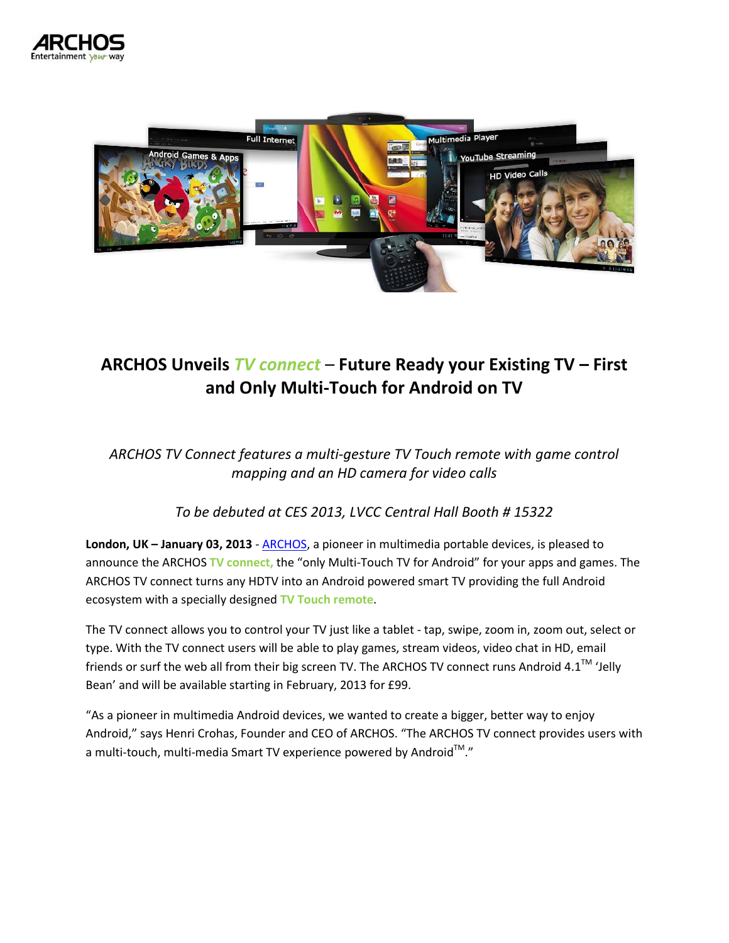



## **ARCHOS Unveils** *TV connect* – **Future Ready your Existing TV – First and Only Multi-Touch for Android on TV**

*ARCHOS TV Connect features a multi-gesture TV Touch remote with game control mapping and an HD camera for video calls* 

*To be debuted at CES 2013, LVCC Central Hall Booth # 15322*

**London, UK – January 03, 2013** - [ARCHOS,](http://www.archos.com/) a pioneer in multimedia portable devices, is pleased to announce the ARCHOS **TV connect,** the "only Multi-Touch TV for Android" for your apps and games. The ARCHOS TV connect turns any HDTV into an Android powered smart TV providing the full Android ecosystem with a specially designed **TV Touch remote**.

The TV connect allows you to control your TV just like a tablet - tap, swipe, zoom in, zoom out, select or type. With the TV connect users will be able to play games, stream videos, video chat in HD, email friends or surf the web all from their big screen TV. The ARCHOS TV connect runs Android 4.1™ 'Jelly Bean' and will be available starting in February, 2013 for £99.

"As a pioneer in multimedia Android devices, we wanted to create a bigger, better way to enjoy Android," says Henri Crohas, Founder and CEO of ARCHOS. "The ARCHOS TV connect provides users with a multi-touch, multi-media Smart TV experience powered by Android $^{\text{\tiny{\textsf{TM}}}}$ ."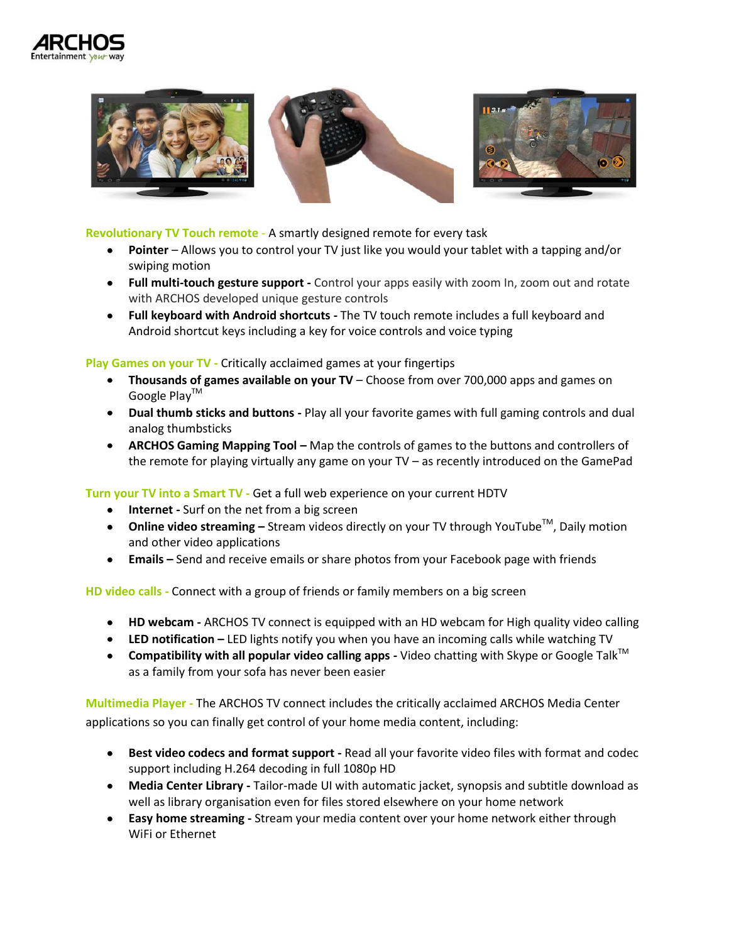



## **Revolutionary TV Touch remote** - A smartly designed remote for every task

- **Pointer** Allows you to control your TV just like you would your tablet with a tapping and/or swiping motion
- **Full multi-touch gesture support -** Control your apps easily with zoom In, zoom out and rotate with ARCHOS developed unique gesture controls
- **Full keyboard with Android shortcuts -** The TV touch remote includes a full keyboard and Android shortcut keys including a key for voice controls and voice typing

**Play Games on your TV -** Critically acclaimed games at your fingertips

- **Thousands of games available on your TV** Choose from over 700,000 apps and games on Google Play<sup>™</sup>
- **Dual thumb sticks and buttons -** Play all your favorite games with full gaming controls and dual analog thumbsticks
- **ARCHOS Gaming Mapping Tool –** Map the controls of games to the buttons and controllers of the remote for playing virtually any game on your TV – as recently introduced on the GamePad

**Turn your TV into a Smart TV -** Get a full web experience on your current HDTV

- **•** Internet Surf on the net from a big screen
- **■** Online video streaming Stream videos directly on your TV through YouTube™, Daily motion and other video applications
- **Emails –** Send and receive emails or share photos from your Facebook page with friends

**HD video calls -** Connect with a group of friends or family members on a big screen

- **HD webcam -** ARCHOS TV connect is equipped with an HD webcam for High quality video calling
- **LED notification –** LED lights notify you when you have an incoming calls while watching TV
- **Compatibility with all popular video calling apps** Video chatting with Skype or Google Talk<sup>™</sup> as a family from your sofa has never been easier

**Multimedia Player -** The ARCHOS TV connect includes the critically acclaimed ARCHOS Media Center applications so you can finally get control of your home media content, including:

- **Best video codecs and format support -** Read all your favorite video files with format and codec support including H.264 decoding in full 1080p HD
- **Media Center Library -** Tailor-made UI with automatic jacket, synopsis and subtitle download as well as library organisation even for files stored elsewhere on your home network
- **Easy home streaming -** Stream your media content over your home network either through WiFi or Ethernet